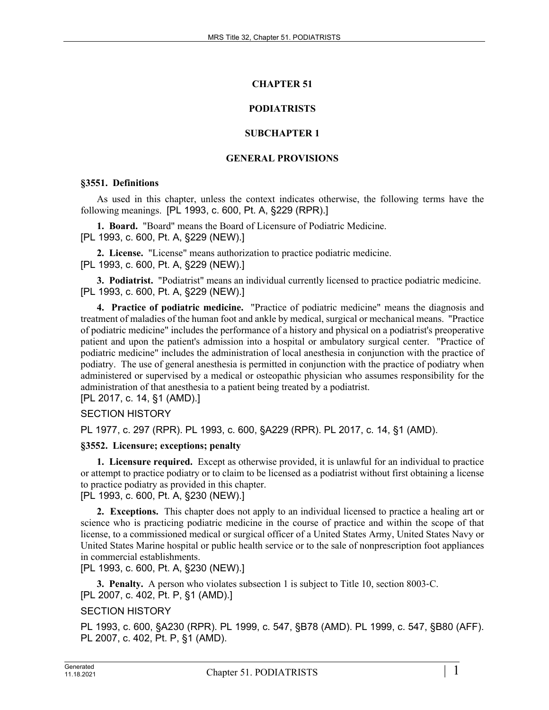# **CHAPTER 51**

# **PODIATRISTS**

# **SUBCHAPTER 1**

### **GENERAL PROVISIONS**

### **§3551. Definitions**

As used in this chapter, unless the context indicates otherwise, the following terms have the following meanings. [PL 1993, c. 600, Pt. A, §229 (RPR).]

**1. Board.** "Board" means the Board of Licensure of Podiatric Medicine. [PL 1993, c. 600, Pt. A, §229 (NEW).]

**2. License.** "License" means authorization to practice podiatric medicine. [PL 1993, c. 600, Pt. A, §229 (NEW).]

**3. Podiatrist.** "Podiatrist" means an individual currently licensed to practice podiatric medicine. [PL 1993, c. 600, Pt. A, §229 (NEW).]

**4. Practice of podiatric medicine.** "Practice of podiatric medicine" means the diagnosis and treatment of maladies of the human foot and ankle by medical, surgical or mechanical means. "Practice of podiatric medicine" includes the performance of a history and physical on a podiatrist's preoperative patient and upon the patient's admission into a hospital or ambulatory surgical center. "Practice of podiatric medicine" includes the administration of local anesthesia in conjunction with the practice of podiatry. The use of general anesthesia is permitted in conjunction with the practice of podiatry when administered or supervised by a medical or osteopathic physician who assumes responsibility for the administration of that anesthesia to a patient being treated by a podiatrist.

[PL 2017, c. 14, §1 (AMD).]

# SECTION HISTORY

PL 1977, c. 297 (RPR). PL 1993, c. 600, §A229 (RPR). PL 2017, c. 14, §1 (AMD).

# **§3552. Licensure; exceptions; penalty**

**1. Licensure required.** Except as otherwise provided, it is unlawful for an individual to practice or attempt to practice podiatry or to claim to be licensed as a podiatrist without first obtaining a license to practice podiatry as provided in this chapter.

# [PL 1993, c. 600, Pt. A, §230 (NEW).]

**2. Exceptions.** This chapter does not apply to an individual licensed to practice a healing art or science who is practicing podiatric medicine in the course of practice and within the scope of that license, to a commissioned medical or surgical officer of a United States Army, United States Navy or United States Marine hospital or public health service or to the sale of nonprescription foot appliances in commercial establishments.

[PL 1993, c. 600, Pt. A, §230 (NEW).]

**3. Penalty.** A person who violates subsection 1 is subject to Title 10, section 8003–C. [PL 2007, c. 402, Pt. P, §1 (AMD).]

# SECTION HISTORY

PL 1993, c. 600, §A230 (RPR). PL 1999, c. 547, §B78 (AMD). PL 1999, c. 547, §B80 (AFF). PL 2007, c. 402, Pt. P, §1 (AMD).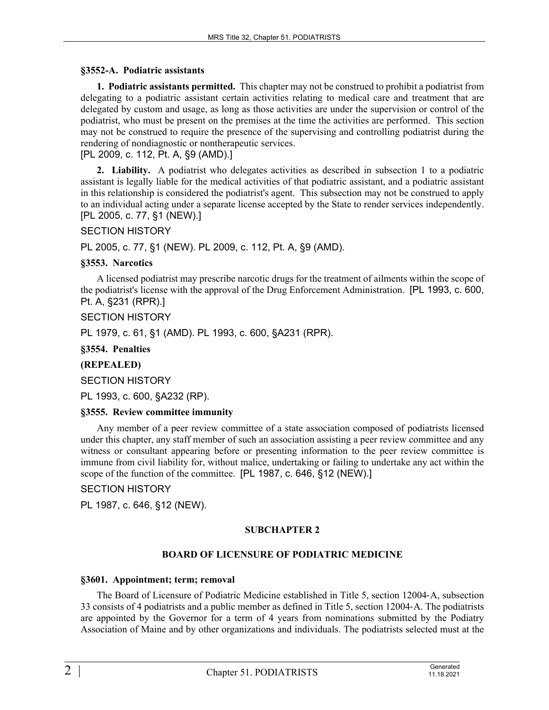### **§3552-A. Podiatric assistants**

**1. Podiatric assistants permitted.** This chapter may not be construed to prohibit a podiatrist from delegating to a podiatric assistant certain activities relating to medical care and treatment that are delegated by custom and usage, as long as those activities are under the supervision or control of the podiatrist, who must be present on the premises at the time the activities are performed. This section may not be construed to require the presence of the supervising and controlling podiatrist during the rendering of nondiagnostic or nontherapeutic services.

[PL 2009, c. 112, Pt. A, §9 (AMD).]

**2. Liability.** A podiatrist who delegates activities as described in subsection 1 to a podiatric assistant is legally liable for the medical activities of that podiatric assistant, and a podiatric assistant in this relationship is considered the podiatrist's agent. This subsection may not be construed to apply to an individual acting under a separate license accepted by the State to render services independently. [PL 2005, c. 77, §1 (NEW).]

### SECTION HISTORY

PL 2005, c. 77, §1 (NEW). PL 2009, c. 112, Pt. A, §9 (AMD).

### **§3553. Narcotics**

A licensed podiatrist may prescribe narcotic drugs for the treatment of ailments within the scope of the podiatrist's license with the approval of the Drug Enforcement Administration. [PL 1993, c. 600, Pt. A, §231 (RPR).]

SECTION HISTORY

PL 1979, c. 61, §1 (AMD). PL 1993, c. 600, §A231 (RPR).

**§3554. Penalties**

# **(REPEALED)**

SECTION HISTORY

PL 1993, c. 600, §A232 (RP).

### **§3555. Review committee immunity**

Any member of a peer review committee of a state association composed of podiatrists licensed under this chapter, any staff member of such an association assisting a peer review committee and any witness or consultant appearing before or presenting information to the peer review committee is immune from civil liability for, without malice, undertaking or failing to undertake any act within the scope of the function of the committee. [PL 1987, c. 646, §12 (NEW).]

# SECTION HISTORY

PL 1987, c. 646, §12 (NEW).

# **SUBCHAPTER 2**

# **BOARD OF LICENSURE OF PODIATRIC MEDICINE**

### **§3601. Appointment; term; removal**

The Board of Licensure of Podiatric Medicine established in Title 5, section 12004–A, subsection 33 consists of 4 podiatrists and a public member as defined in Title 5, section 12004‑A. The podiatrists are appointed by the Governor for a term of 4 years from nominations submitted by the Podiatry Association of Maine and by other organizations and individuals. The podiatrists selected must at the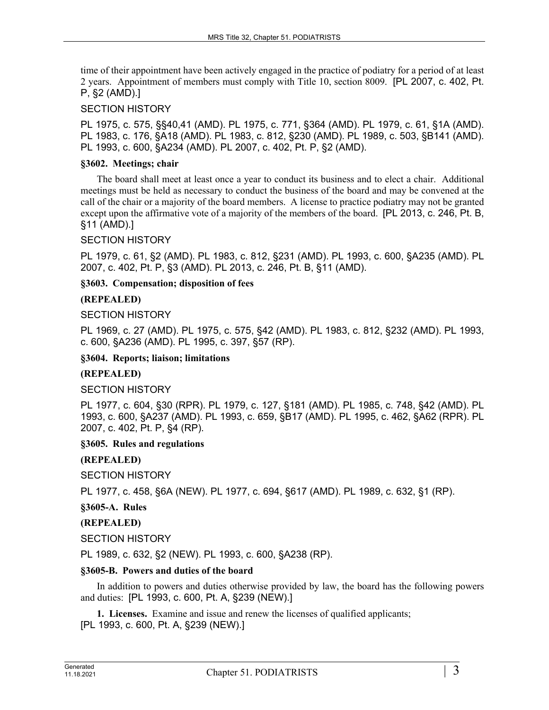time of their appointment have been actively engaged in the practice of podiatry for a period of at least 2 years. Appointment of members must comply with Title 10, section 8009. [PL 2007, c. 402, Pt. P, §2 (AMD).]

### SECTION HISTORY

PL 1975, c. 575, §§40,41 (AMD). PL 1975, c. 771, §364 (AMD). PL 1979, c. 61, §1A (AMD). PL 1983, c. 176, §A18 (AMD). PL 1983, c. 812, §230 (AMD). PL 1989, c. 503, §B141 (AMD). PL 1993, c. 600, §A234 (AMD). PL 2007, c. 402, Pt. P, §2 (AMD).

### **§3602. Meetings; chair**

The board shall meet at least once a year to conduct its business and to elect a chair. Additional meetings must be held as necessary to conduct the business of the board and may be convened at the call of the chair or a majority of the board members. A license to practice podiatry may not be granted except upon the affirmative vote of a majority of the members of the board. [PL 2013, c. 246, Pt. B, §11 (AMD).]

### SECTION HISTORY

PL 1979, c. 61, §2 (AMD). PL 1983, c. 812, §231 (AMD). PL 1993, c. 600, §A235 (AMD). PL 2007, c. 402, Pt. P, §3 (AMD). PL 2013, c. 246, Pt. B, §11 (AMD).

### **§3603. Compensation; disposition of fees**

### **(REPEALED)**

### SECTION HISTORY

PL 1969, c. 27 (AMD). PL 1975, c. 575, §42 (AMD). PL 1983, c. 812, §232 (AMD). PL 1993, c. 600, §A236 (AMD). PL 1995, c. 397, §57 (RP).

### **§3604. Reports; liaison; limitations**

### **(REPEALED)**

### SECTION HISTORY

PL 1977, c. 604, §30 (RPR). PL 1979, c. 127, §181 (AMD). PL 1985, c. 748, §42 (AMD). PL 1993, c. 600, §A237 (AMD). PL 1993, c. 659, §B17 (AMD). PL 1995, c. 462, §A62 (RPR). PL 2007, c. 402, Pt. P, §4 (RP).

### **§3605. Rules and regulations**

### **(REPEALED)**

SECTION HISTORY

PL 1977, c. 458, §6A (NEW). PL 1977, c. 694, §617 (AMD). PL 1989, c. 632, §1 (RP).

### **§3605-A. Rules**

### **(REPEALED)**

SECTION HISTORY

PL 1989, c. 632, §2 (NEW). PL 1993, c. 600, §A238 (RP).

### **§3605-B. Powers and duties of the board**

In addition to powers and duties otherwise provided by law, the board has the following powers and duties: [PL 1993, c. 600, Pt. A, §239 (NEW).]

**1. Licenses.** Examine and issue and renew the licenses of qualified applicants; [PL 1993, c. 600, Pt. A, §239 (NEW).]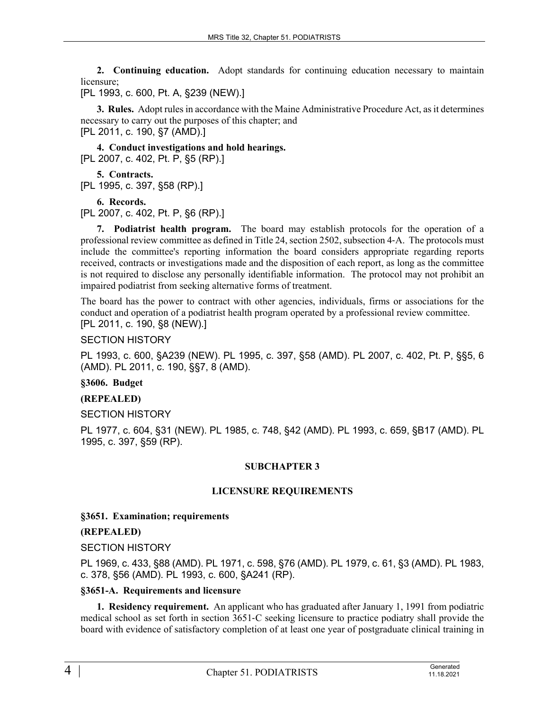**2. Continuing education.** Adopt standards for continuing education necessary to maintain licensure;

[PL 1993, c. 600, Pt. A, §239 (NEW).]

**3. Rules.** Adopt rules in accordance with the Maine Administrative Procedure Act, as it determines necessary to carry out the purposes of this chapter; and [PL 2011, c. 190, §7 (AMD).]

**4. Conduct investigations and hold hearings.**  [PL 2007, c. 402, Pt. P, §5 (RP).]

**5. Contracts.**  [PL 1995, c. 397, §58 (RP).]

**6. Records.** 

[PL 2007, c. 402, Pt. P, §6 (RP).]

**7. Podiatrist health program.** The board may establish protocols for the operation of a professional review committee as defined in Title 24, section 2502, subsection 4‑A. The protocols must include the committee's reporting information the board considers appropriate regarding reports received, contracts or investigations made and the disposition of each report, as long as the committee is not required to disclose any personally identifiable information. The protocol may not prohibit an impaired podiatrist from seeking alternative forms of treatment.

The board has the power to contract with other agencies, individuals, firms or associations for the conduct and operation of a podiatrist health program operated by a professional review committee. [PL 2011, c. 190, §8 (NEW).]

SECTION HISTORY

PL 1993, c. 600, §A239 (NEW). PL 1995, c. 397, §58 (AMD). PL 2007, c. 402, Pt. P, §§5, 6 (AMD). PL 2011, c. 190, §§7, 8 (AMD).

**§3606. Budget**

# **(REPEALED)**

# SECTION HISTORY

PL 1977, c. 604, §31 (NEW). PL 1985, c. 748, §42 (AMD). PL 1993, c. 659, §B17 (AMD). PL 1995, c. 397, §59 (RP).

# **SUBCHAPTER 3**

# **LICENSURE REQUIREMENTS**

### **§3651. Examination; requirements**

# **(REPEALED)**

### SECTION HISTORY

PL 1969, c. 433, §88 (AMD). PL 1971, c. 598, §76 (AMD). PL 1979, c. 61, §3 (AMD). PL 1983, c. 378, §56 (AMD). PL 1993, c. 600, §A241 (RP).

### **§3651-A. Requirements and licensure**

**1. Residency requirement.** An applicant who has graduated after January 1, 1991 from podiatric medical school as set forth in section 3651‑C seeking licensure to practice podiatry shall provide the board with evidence of satisfactory completion of at least one year of postgraduate clinical training in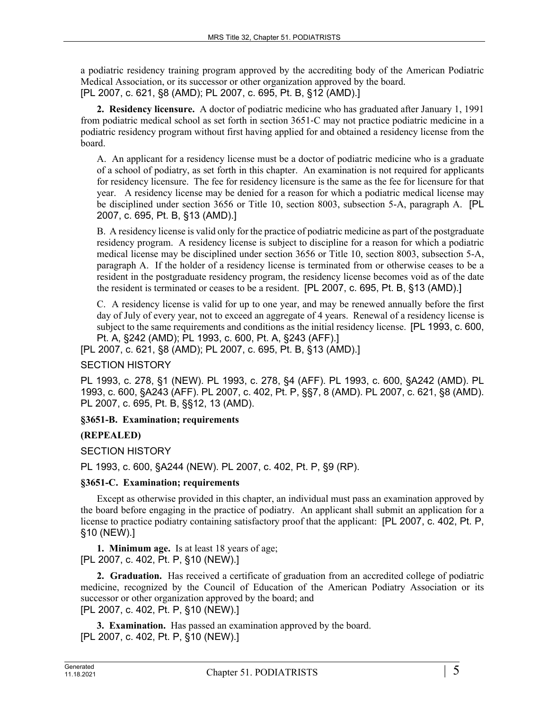a podiatric residency training program approved by the accrediting body of the American Podiatric Medical Association, or its successor or other organization approved by the board. [PL 2007, c. 621, §8 (AMD); PL 2007, c. 695, Pt. B, §12 (AMD).]

**2. Residency licensure.** A doctor of podiatric medicine who has graduated after January 1, 1991 from podiatric medical school as set forth in section 3651‑C may not practice podiatric medicine in a podiatric residency program without first having applied for and obtained a residency license from the board.

A. An applicant for a residency license must be a doctor of podiatric medicine who is a graduate of a school of podiatry, as set forth in this chapter. An examination is not required for applicants for residency licensure. The fee for residency licensure is the same as the fee for licensure for that year. A residency license may be denied for a reason for which a podiatric medical license may be disciplined under section 3656 or Title 10, section 8003, subsection 5-A, paragraph A. [PL 2007, c. 695, Pt. B, §13 (AMD).]

B. A residency license is valid only for the practice of podiatric medicine as part of the postgraduate residency program. A residency license is subject to discipline for a reason for which a podiatric medical license may be disciplined under section 3656 or Title 10, section 8003, subsection 5-A, paragraph A. If the holder of a residency license is terminated from or otherwise ceases to be a resident in the postgraduate residency program, the residency license becomes void as of the date the resident is terminated or ceases to be a resident. [PL 2007, c. 695, Pt. B, §13 (AMD).]

C. A residency license is valid for up to one year, and may be renewed annually before the first day of July of every year, not to exceed an aggregate of 4 years. Renewal of a residency license is subject to the same requirements and conditions as the initial residency license. [PL 1993, c. 600, Pt. A, §242 (AMD); PL 1993, c. 600, Pt. A, §243 (AFF).]

[PL 2007, c. 621, §8 (AMD); PL 2007, c. 695, Pt. B, §13 (AMD).]

# SECTION HISTORY

PL 1993, c. 278, §1 (NEW). PL 1993, c. 278, §4 (AFF). PL 1993, c. 600, §A242 (AMD). PL 1993, c. 600, §A243 (AFF). PL 2007, c. 402, Pt. P, §§7, 8 (AMD). PL 2007, c. 621, §8 (AMD). PL 2007, c. 695, Pt. B, §§12, 13 (AMD).

# **§3651-B. Examination; requirements**

# **(REPEALED)**

SECTION HISTORY

PL 1993, c. 600, §A244 (NEW). PL 2007, c. 402, Pt. P, §9 (RP).

### **§3651-C. Examination; requirements**

Except as otherwise provided in this chapter, an individual must pass an examination approved by the board before engaging in the practice of podiatry. An applicant shall submit an application for a license to practice podiatry containing satisfactory proof that the applicant: [PL 2007, c. 402, Pt. P, §10 (NEW).]

**1. Minimum age.** Is at least 18 years of age; [PL 2007, c. 402, Pt. P, §10 (NEW).]

**2. Graduation.** Has received a certificate of graduation from an accredited college of podiatric medicine, recognized by the Council of Education of the American Podiatry Association or its successor or other organization approved by the board; and [PL 2007, c. 402, Pt. P, §10 (NEW).]

**3. Examination.** Has passed an examination approved by the board. [PL 2007, c. 402, Pt. P, §10 (NEW).]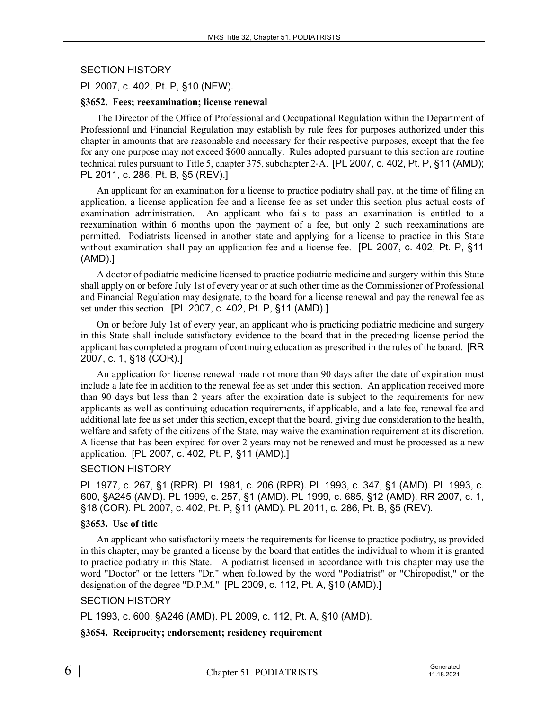### SECTION HISTORY

### PL 2007, c. 402, Pt. P, §10 (NEW).

#### **§3652. Fees; reexamination; license renewal**

The Director of the Office of Professional and Occupational Regulation within the Department of Professional and Financial Regulation may establish by rule fees for purposes authorized under this chapter in amounts that are reasonable and necessary for their respective purposes, except that the fee for any one purpose may not exceed \$600 annually. Rules adopted pursuant to this section are routine technical rules pursuant to Title 5, chapter 375, subchapter 2‑A. [PL 2007, c. 402, Pt. P, §11 (AMD); PL 2011, c. 286, Pt. B, §5 (REV).]

An applicant for an examination for a license to practice podiatry shall pay, at the time of filing an application, a license application fee and a license fee as set under this section plus actual costs of examination administration. An applicant who fails to pass an examination is entitled to a reexamination within 6 months upon the payment of a fee, but only 2 such reexaminations are permitted. Podiatrists licensed in another state and applying for a license to practice in this State without examination shall pay an application fee and a license fee. [PL 2007, c. 402, Pt. P, §11 (AMD).]

A doctor of podiatric medicine licensed to practice podiatric medicine and surgery within this State shall apply on or before July 1st of every year or at such other time as the Commissioner of Professional and Financial Regulation may designate, to the board for a license renewal and pay the renewal fee as set under this section. [PL 2007, c. 402, Pt. P, §11 (AMD).]

On or before July 1st of every year, an applicant who is practicing podiatric medicine and surgery in this State shall include satisfactory evidence to the board that in the preceding license period the applicant has completed a program of continuing education as prescribed in the rules of the board. [RR 2007, c. 1, §18 (COR).]

An application for license renewal made not more than 90 days after the date of expiration must include a late fee in addition to the renewal fee as set under this section. An application received more than 90 days but less than 2 years after the expiration date is subject to the requirements for new applicants as well as continuing education requirements, if applicable, and a late fee, renewal fee and additional late fee as set under this section, except that the board, giving due consideration to the health, welfare and safety of the citizens of the State, may waive the examination requirement at its discretion. A license that has been expired for over 2 years may not be renewed and must be processed as a new application. [PL 2007, c. 402, Pt. P, §11 (AMD).]

### SECTION HISTORY

PL 1977, c. 267, §1 (RPR). PL 1981, c. 206 (RPR). PL 1993, c. 347, §1 (AMD). PL 1993, c. 600, §A245 (AMD). PL 1999, c. 257, §1 (AMD). PL 1999, c. 685, §12 (AMD). RR 2007, c. 1, §18 (COR). PL 2007, c. 402, Pt. P, §11 (AMD). PL 2011, c. 286, Pt. B, §5 (REV).

### **§3653. Use of title**

An applicant who satisfactorily meets the requirements for license to practice podiatry, as provided in this chapter, may be granted a license by the board that entitles the individual to whom it is granted to practice podiatry in this State. A podiatrist licensed in accordance with this chapter may use the word "Doctor" or the letters "Dr." when followed by the word "Podiatrist" or "Chiropodist," or the designation of the degree "D.P.M." [PL 2009, c. 112, Pt. A, §10 (AMD).]

### SECTION HISTORY

PL 1993, c. 600, §A246 (AMD). PL 2009, c. 112, Pt. A, §10 (AMD).

### **§3654. Reciprocity; endorsement; residency requirement**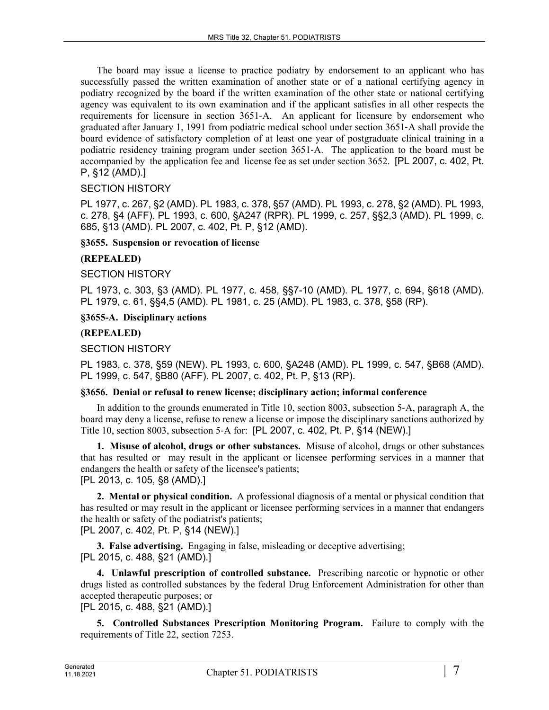The board may issue a license to practice podiatry by endorsement to an applicant who has successfully passed the written examination of another state or of a national certifying agency in podiatry recognized by the board if the written examination of the other state or national certifying agency was equivalent to its own examination and if the applicant satisfies in all other respects the requirements for licensure in section 3651‑A. An applicant for licensure by endorsement who graduated after January 1, 1991 from podiatric medical school under section 3651‑A shall provide the board evidence of satisfactory completion of at least one year of postgraduate clinical training in a podiatric residency training program under section 3651‑A. The application to the board must be accompanied by the application fee and license fee as set under section 3652. [PL 2007, c. 402, Pt. P, §12 (AMD).]

# SECTION HISTORY

PL 1977, c. 267, §2 (AMD). PL 1983, c. 378, §57 (AMD). PL 1993, c. 278, §2 (AMD). PL 1993, c. 278, §4 (AFF). PL 1993, c. 600, §A247 (RPR). PL 1999, c. 257, §§2,3 (AMD). PL 1999, c. 685, §13 (AMD). PL 2007, c. 402, Pt. P, §12 (AMD).

### **§3655. Suspension or revocation of license**

### **(REPEALED)**

SECTION HISTORY

PL 1973, c. 303, §3 (AMD). PL 1977, c. 458, §§7-10 (AMD). PL 1977, c. 694, §618 (AMD). PL 1979, c. 61, §§4,5 (AMD). PL 1981, c. 25 (AMD). PL 1983, c. 378, §58 (RP).

### **§3655-A. Disciplinary actions**

### **(REPEALED)**

### SECTION HISTORY

PL 1983, c. 378, §59 (NEW). PL 1993, c. 600, §A248 (AMD). PL 1999, c. 547, §B68 (AMD). PL 1999, c. 547, §B80 (AFF). PL 2007, c. 402, Pt. P, §13 (RP).

### **§3656. Denial or refusal to renew license; disciplinary action; informal conference**

In addition to the grounds enumerated in Title 10, section 8003, subsection 5‑A, paragraph A, the board may deny a license, refuse to renew a license or impose the disciplinary sanctions authorized by Title 10, section 8003, subsection 5‑A for: [PL 2007, c. 402, Pt. P, §14 (NEW).]

**1. Misuse of alcohol, drugs or other substances.** Misuse of alcohol, drugs or other substances that has resulted or may result in the applicant or licensee performing services in a manner that endangers the health or safety of the licensee's patients; [PL 2013, c. 105, §8 (AMD).]

**2. Mental or physical condition.** A professional diagnosis of a mental or physical condition that has resulted or may result in the applicant or licensee performing services in a manner that endangers the health or safety of the podiatrist's patients;

[PL 2007, c. 402, Pt. P, §14 (NEW).]

**3. False advertising.** Engaging in false, misleading or deceptive advertising; [PL 2015, c. 488, §21 (AMD).]

**4. Unlawful prescription of controlled substance.** Prescribing narcotic or hypnotic or other drugs listed as controlled substances by the federal Drug Enforcement Administration for other than accepted therapeutic purposes; or

[PL 2015, c. 488, §21 (AMD).]

**5. Controlled Substances Prescription Monitoring Program.** Failure to comply with the requirements of Title 22, section 7253.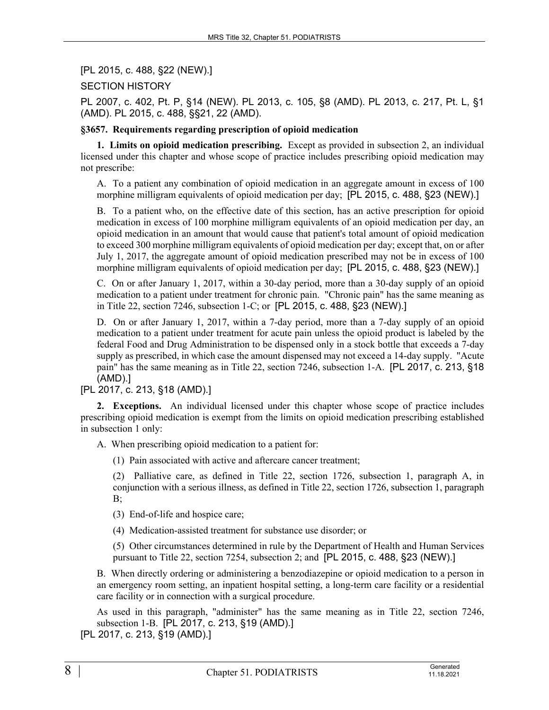[PL 2015, c. 488, §22 (NEW).]

SECTION HISTORY

PL 2007, c. 402, Pt. P, §14 (NEW). PL 2013, c. 105, §8 (AMD). PL 2013, c. 217, Pt. L, §1 (AMD). PL 2015, c. 488, §§21, 22 (AMD).

### **§3657. Requirements regarding prescription of opioid medication**

**1. Limits on opioid medication prescribing.** Except as provided in subsection 2, an individual licensed under this chapter and whose scope of practice includes prescribing opioid medication may not prescribe:

A. To a patient any combination of opioid medication in an aggregate amount in excess of 100 morphine milligram equivalents of opioid medication per day; [PL 2015, c. 488, §23 (NEW).]

B. To a patient who, on the effective date of this section, has an active prescription for opioid medication in excess of 100 morphine milligram equivalents of an opioid medication per day, an opioid medication in an amount that would cause that patient's total amount of opioid medication to exceed 300 morphine milligram equivalents of opioid medication per day; except that, on or after July 1, 2017, the aggregate amount of opioid medication prescribed may not be in excess of 100 morphine milligram equivalents of opioid medication per day; [PL 2015, c. 488, §23 (NEW).]

C. On or after January 1, 2017, within a 30-day period, more than a 30-day supply of an opioid medication to a patient under treatment for chronic pain. "Chronic pain" has the same meaning as in Title 22, section 7246, subsection 1-C; or [PL 2015, c. 488, §23 (NEW).]

D. On or after January 1, 2017, within a 7-day period, more than a 7-day supply of an opioid medication to a patient under treatment for acute pain unless the opioid product is labeled by the federal Food and Drug Administration to be dispensed only in a stock bottle that exceeds a 7-day supply as prescribed, in which case the amount dispensed may not exceed a 14-day supply. "Acute pain" has the same meaning as in Title 22, section 7246, subsection 1-A. [PL 2017, c. 213, §18 (AMD).]

[PL 2017, c. 213, §18 (AMD).]

**2. Exceptions.** An individual licensed under this chapter whose scope of practice includes prescribing opioid medication is exempt from the limits on opioid medication prescribing established in subsection 1 only:

A. When prescribing opioid medication to a patient for:

(1) Pain associated with active and aftercare cancer treatment;

(2) Palliative care, as defined in Title 22, section 1726, subsection 1, paragraph A, in conjunction with a serious illness, as defined in Title 22, section 1726, subsection 1, paragraph  $B$ ;

(3) End-of-life and hospice care;

(4) Medication-assisted treatment for substance use disorder; or

(5) Other circumstances determined in rule by the Department of Health and Human Services pursuant to Title 22, section 7254, subsection 2; and [PL 2015, c. 488, §23 (NEW).]

B. When directly ordering or administering a benzodiazepine or opioid medication to a person in an emergency room setting, an inpatient hospital setting, a long-term care facility or a residential care facility or in connection with a surgical procedure.

As used in this paragraph, "administer" has the same meaning as in Title 22, section 7246, subsection 1-B. [PL 2017, c. 213, §19 (AMD).]

[PL 2017, c. 213, §19 (AMD).]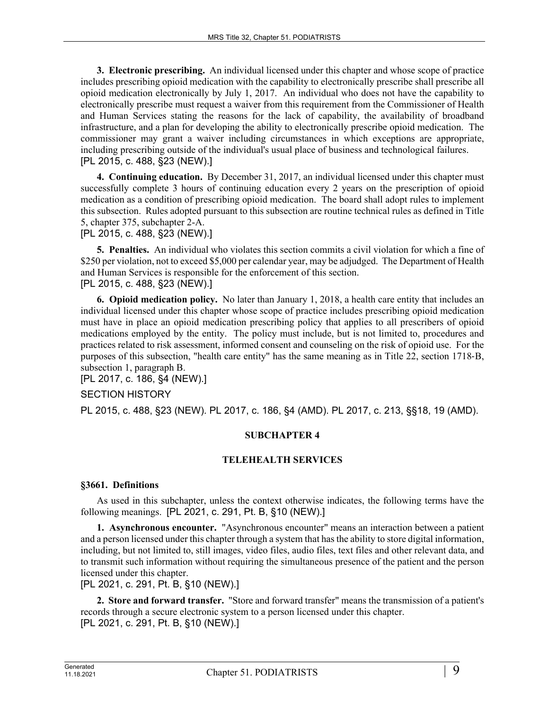**3. Electronic prescribing.** An individual licensed under this chapter and whose scope of practice includes prescribing opioid medication with the capability to electronically prescribe shall prescribe all opioid medication electronically by July 1, 2017. An individual who does not have the capability to electronically prescribe must request a waiver from this requirement from the Commissioner of Health and Human Services stating the reasons for the lack of capability, the availability of broadband infrastructure, and a plan for developing the ability to electronically prescribe opioid medication. The commissioner may grant a waiver including circumstances in which exceptions are appropriate, including prescribing outside of the individual's usual place of business and technological failures. [PL 2015, c. 488, §23 (NEW).]

**4. Continuing education.** By December 31, 2017, an individual licensed under this chapter must successfully complete 3 hours of continuing education every 2 years on the prescription of opioid medication as a condition of prescribing opioid medication. The board shall adopt rules to implement this subsection. Rules adopted pursuant to this subsection are routine technical rules as defined in Title 5, chapter 375, subchapter 2-A.

[PL 2015, c. 488, §23 (NEW).]

**5. Penalties.** An individual who violates this section commits a civil violation for which a fine of \$250 per violation, not to exceed \$5,000 per calendar year, may be adjudged. The Department of Health and Human Services is responsible for the enforcement of this section. [PL 2015, c. 488, §23 (NEW).]

**6. Opioid medication policy.** No later than January 1, 2018, a health care entity that includes an individual licensed under this chapter whose scope of practice includes prescribing opioid medication must have in place an opioid medication prescribing policy that applies to all prescribers of opioid medications employed by the entity. The policy must include, but is not limited to, procedures and practices related to risk assessment, informed consent and counseling on the risk of opioid use. For the purposes of this subsection, "health care entity" has the same meaning as in Title 22, section 1718‑B, subsection 1, paragraph B.

[PL 2017, c. 186, §4 (NEW).]

### SECTION HISTORY

PL 2015, c. 488, §23 (NEW). PL 2017, c. 186, §4 (AMD). PL 2017, c. 213, §§18, 19 (AMD).

### **SUBCHAPTER 4**

### **TELEHEALTH SERVICES**

#### **§3661. Definitions**

As used in this subchapter, unless the context otherwise indicates, the following terms have the following meanings. [PL 2021, c. 291, Pt. B, §10 (NEW).]

**1. Asynchronous encounter.** "Asynchronous encounter" means an interaction between a patient and a person licensed under this chapter through a system that has the ability to store digital information, including, but not limited to, still images, video files, audio files, text files and other relevant data, and to transmit such information without requiring the simultaneous presence of the patient and the person licensed under this chapter.

[PL 2021, c. 291, Pt. B, §10 (NEW).]

**2. Store and forward transfer.** "Store and forward transfer" means the transmission of a patient's records through a secure electronic system to a person licensed under this chapter. [PL 2021, c. 291, Pt. B, §10 (NEW).]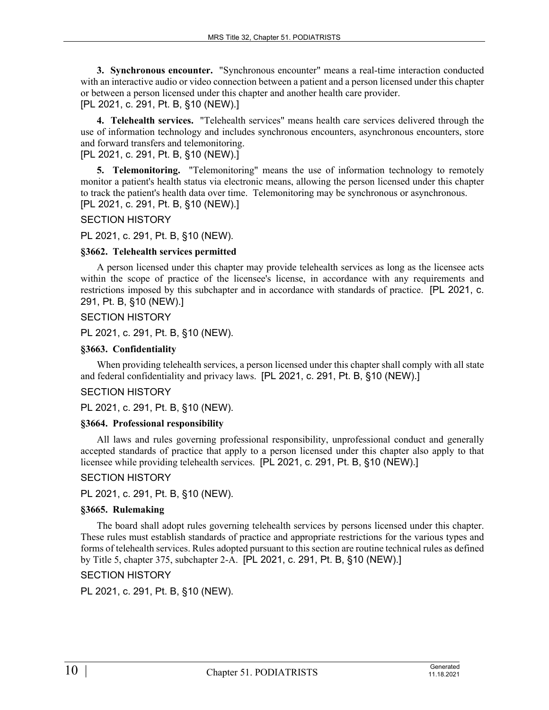**3. Synchronous encounter.** "Synchronous encounter" means a real-time interaction conducted with an interactive audio or video connection between a patient and a person licensed under this chapter or between a person licensed under this chapter and another health care provider. [PL 2021, c. 291, Pt. B, §10 (NEW).]

**4. Telehealth services.** "Telehealth services" means health care services delivered through the use of information technology and includes synchronous encounters, asynchronous encounters, store and forward transfers and telemonitoring.

# [PL 2021, c. 291, Pt. B, §10 (NEW).]

**5. Telemonitoring.** "Telemonitoring" means the use of information technology to remotely monitor a patient's health status via electronic means, allowing the person licensed under this chapter to track the patient's health data over time. Telemonitoring may be synchronous or asynchronous. [PL 2021, c. 291, Pt. B, §10 (NEW).]

### SECTION HISTORY

### PL 2021, c. 291, Pt. B, §10 (NEW).

### **§3662. Telehealth services permitted**

A person licensed under this chapter may provide telehealth services as long as the licensee acts within the scope of practice of the licensee's license, in accordance with any requirements and restrictions imposed by this subchapter and in accordance with standards of practice. [PL 2021, c. 291, Pt. B, §10 (NEW).]

### SECTION HISTORY

PL 2021, c. 291, Pt. B, §10 (NEW).

### **§3663. Confidentiality**

When providing telehealth services, a person licensed under this chapter shall comply with all state and federal confidentiality and privacy laws. [PL 2021, c. 291, Pt. B, §10 (NEW).]

### SECTION HISTORY

PL 2021, c. 291, Pt. B, §10 (NEW).

### **§3664. Professional responsibility**

All laws and rules governing professional responsibility, unprofessional conduct and generally accepted standards of practice that apply to a person licensed under this chapter also apply to that licensee while providing telehealth services. [PL 2021, c. 291, Pt. B, §10 (NEW).]

### SECTION HISTORY

PL 2021, c. 291, Pt. B, §10 (NEW).

### **§3665. Rulemaking**

The board shall adopt rules governing telehealth services by persons licensed under this chapter. These rules must establish standards of practice and appropriate restrictions for the various types and forms of telehealth services. Rules adopted pursuant to this section are routine technical rules as defined by Title 5, chapter 375, subchapter 2-A. [PL 2021, c. 291, Pt. B, §10 (NEW).]

### SECTION HISTORY

PL 2021, c. 291, Pt. B, §10 (NEW).